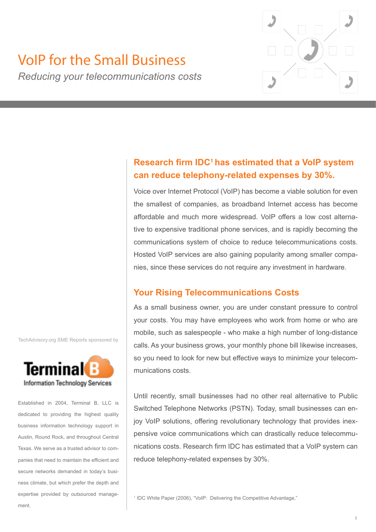

# VoIP for the Small Business

*Reducing your telecommunications costs*

# **Research firm IDC<sup>1</sup>has estimated that a VoIP system can reduce telephony-related expenses by 30%.**

Voice over Internet Protocol (VoIP) has become a viable solution for even the smallest of companies, as broadband Internet access has become affordable and much more widespread. VoIP offers a low cost alternative to expensive traditional phone services, and is rapidly becoming the communications system of choice to reduce telecommunications costs. Hosted VoIP services are also gaining popularity among smaller companies, since these services do not require any investment in hardware.

## **Your Rising Telecommunications Costs**

As a small business owner, you are under constant pressure to control your costs. You may have employees who work from home or who are mobile, such as salespeople - who make a high number of long-distance calls. As your business grows, your monthly phone bill likewise increases, so you need to look for new but effective ways to minimize your telecommunications costs.

Until recently, small businesses had no other real alternative to Public Switched Telephone Networks (PSTN). Today, small businesses can enjoy VoIP solutions, offering revolutionary technology that provides inexpensive voice communications which can drastically reduce telecommunications costs. Research firm IDC has estimated that a VoIP system can reduce telephony-related expenses by 30%.

<sup>1</sup> IDC White Paper (2006), "VoIP: Delivering the Competitive Advantage,"

TechAdvisory.org SME Reports sponsored by



Established in 2004, Terminal B, LLC is dedicated to providing the highest quality business information technology support in Austin, Round Rock, and throughout Central Texas. We serve as a trusted advisor to companies that need to maintain the efficient and secure networks demanded in today's business climate, but which prefer the depth and expertise provided by outsourced management.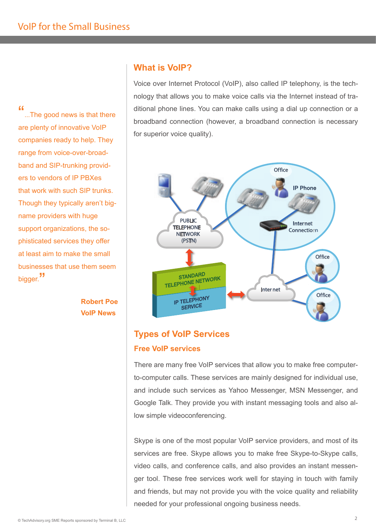"...The good news is that there are plenty of innovative VoIP companies ready to help. They range from voice-over-broadband and SIP-trunking providers to vendors of IP PBXes that work with such SIP trunks. Though they typically aren't bigname providers with huge support organizations, the sophisticated services they offer at least aim to make the small businesses that use them seem bigger. "

> **Robert Poe VoIP News**

## **What is VoIP?**

Voice over Internet Protocol (VoIP), also called IP telephony, is the technology that allows you to make voice calls via the Internet instead of traditional phone lines. You can make calls using a dial up connection or a broadband connection (however, a broadband connection is necessary for superior voice quality).



# **Types of VoIP Services Free VoIP services**

There are many free VoIP services that allow you to make free computerto-computer calls. These services are mainly designed for individual use, and include such services as Yahoo Messenger, MSN Messenger, and Google Talk. They provide you with instant messaging tools and also allow simple videoconferencing.

Skype is one of the most popular VoIP service providers, and most of its services are free. Skype allows you to make free Skype-to-Skype calls, video calls, and conference calls, and also provides an instant messenger tool. These free services work well for staying in touch with family and friends, but may not provide you with the voice quality and reliability needed for your professional ongoing business needs.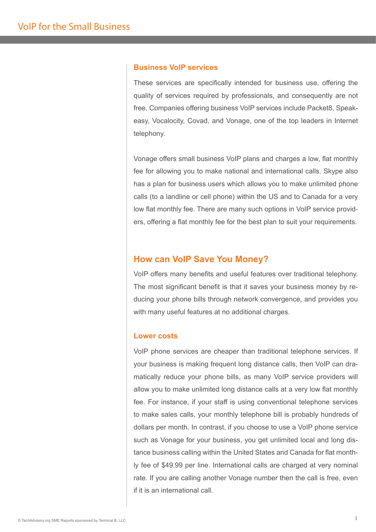#### **Business VoIP services**

These services are specifically intended for business use, offering the quality of services required by professionals, and consequently are not free. Companies offering business VoIP services include Packet8, Speakeasy, Vocalocity, Covad, and Vonage, one of the top leaders in Internet telephony.

Vonage offers small business VoIP plans and charges a low, flat monthly fee for allowing you to make national and international calls. Skype also has a plan for business users which allows you to make unlimited phone calls (to a landline or cell phone) within the US and to Canada for a very low flat monthly fee. There are many such options in VoIP service providers, offering a flat monthly fee for the best plan to suit your requirements.

#### **How can VoIP Save You Money?**

VoIP offers many benefits and useful features over traditional telephony. The most significant benefit is that it saves your business money by reducing your phone bills through network convergence, and provides you with many useful features at no additional charges.

#### **Lower costs**

VoIP phone services are cheaper than traditional telephone services. If your business is making frequent long distance calls, then VoIP can dramatically reduce your phone bills, as many VoIP service providers will allow you to make unlimited long distance calls at a very low flat monthly fee. For instance, if your staff is using conventional telephone services to make sales calls, your monthly telephone bill is probably hundreds of dollars per month. In contrast, if you choose to use a VoIP phone service such as Vonage for your business, you get unlimited local and long distance business calling within the United States and Canada for flat monthly fee of \$49.99 per line. International calls are charged at very nominal rate. If you are calling another Vonage number then the call is free, even if it is an international call.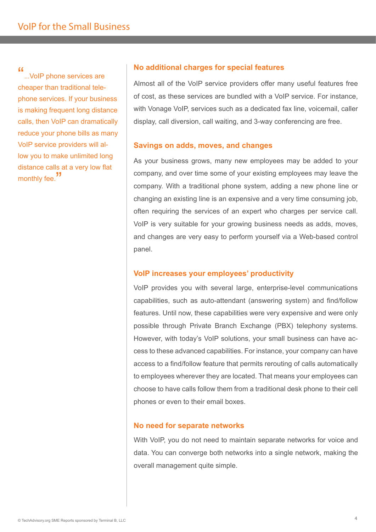"...VoIP phone services are cheaper than traditional telephone services. If your business is making frequent long distance calls, then VoIP can dramatically reduce your phone bills as many VoIP service providers will allow you to make unlimited long distance calls at a very low flat monthly fee.<sup>"</sup>

#### **No additional charges for special features**

Almost all of the VoIP service providers offer many useful features free of cost, as these services are bundled with a VoIP service. For instance, with Vonage VoIP, services such as a dedicated fax line, voicemail, caller display, call diversion, call waiting, and 3-way conferencing are free.

#### **Savings on adds, moves, and changes**

As your business grows, many new employees may be added to your company, and over time some of your existing employees may leave the company. With a traditional phone system, adding a new phone line or changing an existing line is an expensive and a very time consuming job, often requiring the services of an expert who charges per service call. VoIP is very suitable for your growing business needs as adds, moves, and changes are very easy to perform yourself via a Web-based control panel.

#### **VoIP increases your employees' productivity**

VoIP provides you with several large, enterprise-level communications capabilities, such as auto-attendant (answering system) and find/follow features. Until now, these capabilities were very expensive and were only possible through Private Branch Exchange (PBX) telephony systems. However, with today's VoIP solutions, your small business can have access to these advanced capabilities. For instance, your company can have access to a find/follow feature that permits rerouting of calls automatically to employees wherever they are located. That means your employees can choose to have calls follow them from a traditional desk phone to their cell phones or even to their email boxes.

#### **No need for separate networks**

With VoIP, you do not need to maintain separate networks for voice and data. You can converge both networks into a single network, making the overall management quite simple.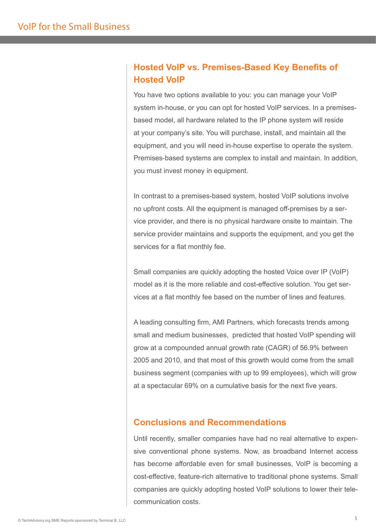## **Hosted VoIP vs. Premises-Based Key Benefits of Hosted VoIP**

You have two options available to you: you can manage your VoIP system in-house, or you can opt for hosted VoIP services. In a premisesbased model, all hardware related to the IP phone system will reside at your company's site. You will purchase, install, and maintain all the equipment, and you will need in-house expertise to operate the system. Premises-based systems are complex to install and maintain. In addition, you must invest money in equipment.

In contrast to a premises-based system, hosted VoIP solutions involve no upfront costs. All the equipment is managed off-premises by a service provider, and there is no physical hardware onsite to maintain. The service provider maintains and supports the equipment, and you get the services for a flat monthly fee.

Small companies are quickly adopting the hosted Voice over IP (VoIP) model as it is the more reliable and cost-effective solution. You get services at a flat monthly fee based on the number of lines and features.

A leading consulting firm, AMI Partners, which forecasts trends among small and medium businesses, predicted that hosted VoIP spending will grow at a compounded annual growth rate (CAGR) of 56.9% between 2005 and 2010, and that most of this growth would come from the small business segment (companies with up to 99 employees), which will grow at a spectacular 69% on a cumulative basis for the next five years.

## **Conclusions and Recommendations**

Until recently, smaller companies have had no real alternative to expensive conventional phone systems. Now, as broadband Internet access has become affordable even for small businesses, VoIP is becoming a cost-effective, feature-rich alternative to traditional phone systems. Small companies are quickly adopting hosted VoIP solutions to lower their telecommunication costs.